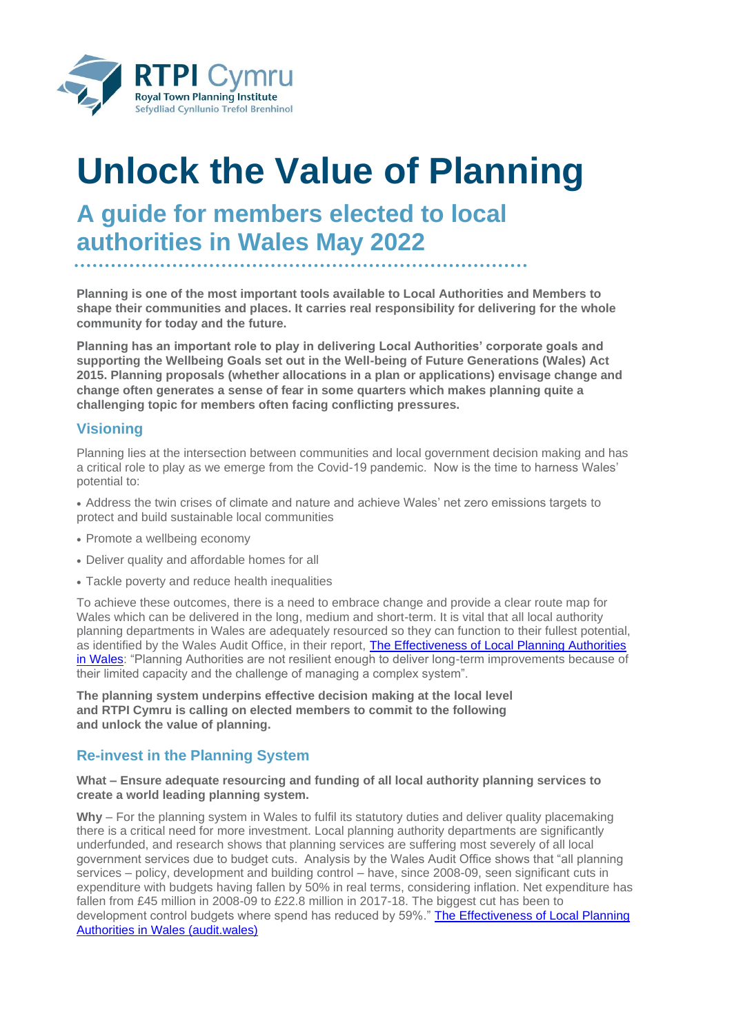

# **Unlock the Value of Planning**

# **A guide for members elected to local authorities in Wales May 2022**

**Planning is one of the most important tools available to Local Authorities and Members to shape their communities and places. It carries real responsibility for delivering for the whole community for today and the future.**

**Planning has an important role to play in delivering Local Authorities' corporate goals and supporting the Wellbeing Goals set out in the Well-being of Future Generations (Wales) Act 2015. Planning proposals (whether allocations in a plan or applications) envisage change and change often generates a sense of fear in some quarters which makes planning quite a challenging topic for members often facing conflicting pressures.**

### **Visioning**

Planning lies at the intersection between communities and local government decision making and has a critical role to play as we emerge from the Covid-19 pandemic. Now is the time to harness Wales' potential to:

• Address the twin crises of climate and nature and achieve Wales' net zero emissions targets to protect and build sustainable local communities

- Promote a wellbeing economy
- Deliver quality and affordable homes for all
- Tackle poverty and reduce health inequalities

To achieve these outcomes, there is a need to embrace change and provide a clear route map for Wales which can be delivered in the long, medium and short-term. It is vital that all local authority planning departments in Wales are adequately resourced so they can function to their fullest potential, as identified by the Wales Audit Office, in their report, [The Effectiveness of Local Planning Authorities](https://audit.wales/publication/effectiveness-local-planning-authorities-wales)  [in Wales:](https://audit.wales/publication/effectiveness-local-planning-authorities-wales) "Planning Authorities are not resilient enough to deliver long-term improvements because of their limited capacity and the challenge of managing a complex system".

**The planning system underpins effective decision making at the local level and RTPI Cymru is calling on elected members to commit to the following and unlock the value of planning.**

#### **Re-invest in the Planning System**

#### **What – Ensure adequate resourcing and funding of all local authority planning services to create a world leading planning system.**

**Why** – For the planning system in Wales to fulfil its statutory duties and deliver quality placemaking there is a critical need for more investment. Local planning authority departments are significantly underfunded, and research shows that planning services are suffering most severely of all local government services due to budget cuts. Analysis by the Wales Audit Office shows that "all planning services – policy, development and building control – have, since 2008-09, seen significant cuts in expenditure with budgets having fallen by 50% in real terms, considering inflation. Net expenditure has fallen from £45 million in 2008-09 to £22.8 million in 2017-18. The biggest cut has been to development control budgets where spend has reduced by 59%." [The Effectiveness of Local Planning](https://audit.wales/sites/default/files/planning-services-2019-full-report-english_5.pdf)  [Authorities in Wales \(audit.wales\)](https://audit.wales/sites/default/files/planning-services-2019-full-report-english_5.pdf)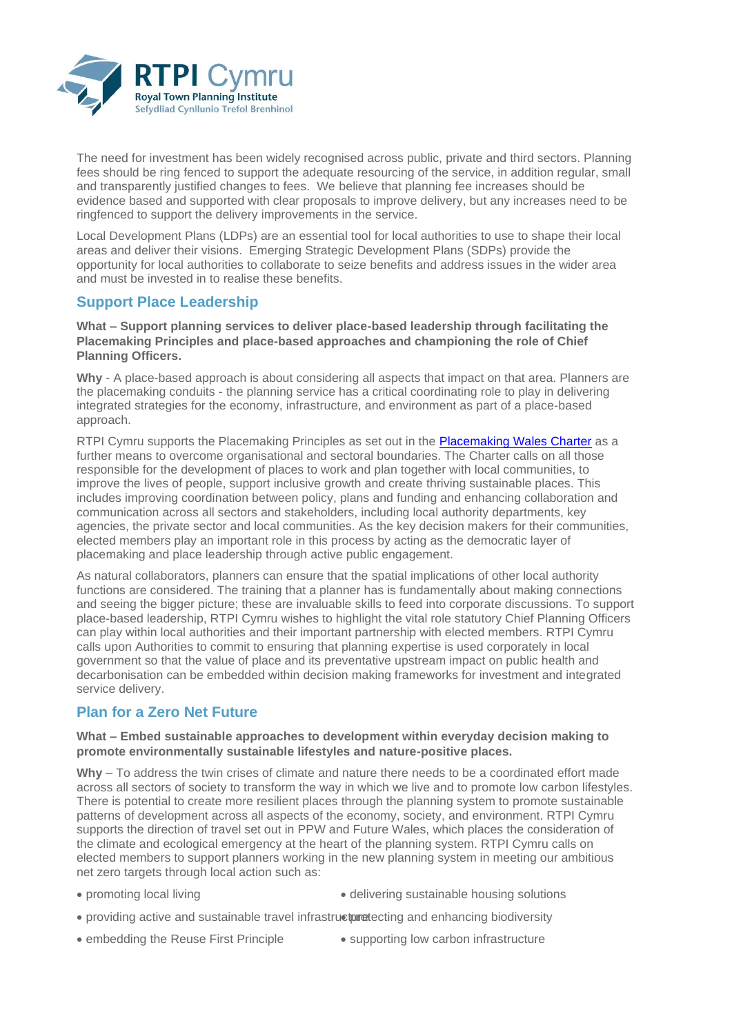

The need for investment has been widely recognised across public, private and third sectors. Planning fees should be ring fenced to support the adequate resourcing of the service, in addition regular, small and transparently justified changes to fees. We believe that planning fee increases should be evidence based and supported with clear proposals to improve delivery, but any increases need to be ringfenced to support the delivery improvements in the service.

Local Development Plans (LDPs) are an essential tool for local authorities to use to shape their local areas and deliver their visions. Emerging Strategic Development Plans (SDPs) provide the opportunity for local authorities to collaborate to seize benefits and address issues in the wider area and must be invested in to realise these benefits.

## **Support Place Leadership**

**What – Support planning services to deliver place-based leadership through facilitating the Placemaking Principles and place-based approaches and championing the role of Chief Planning Officers.**

**Why** - A place-based approach is about considering all aspects that impact on that area. Planners are the placemaking conduits - the planning service has a critical coordinating role to play in delivering integrated strategies for the economy, infrastructure, and environment as part of a place-based approach.

RTPI Cymru supports the Placemaking Principles as set out in the [Placemaking Wales Charter](http://dcfw.org/wp-content/uploads/2020/09/PlacemakingWales_A4Charter_ENG.jpg) as a further means to overcome organisational and sectoral boundaries. The Charter calls on all those responsible for the development of places to work and plan together with local communities, to improve the lives of people, support inclusive growth and create thriving sustainable places. This includes improving coordination between policy, plans and funding and enhancing collaboration and communication across all sectors and stakeholders, including local authority departments, key agencies, the private sector and local communities. As the key decision makers for their communities, elected members play an important role in this process by acting as the democratic layer of placemaking and place leadership through active public engagement.

As natural collaborators, planners can ensure that the spatial implications of other local authority functions are considered. The training that a planner has is fundamentally about making connections and seeing the bigger picture; these are invaluable skills to feed into corporate discussions. To support place-based leadership, RTPI Cymru wishes to highlight the vital role statutory Chief Planning Officers can play within local authorities and their important partnership with elected members. RTPI Cymru calls upon Authorities to commit to ensuring that planning expertise is used corporately in local government so that the value of place and its preventative upstream impact on public health and decarbonisation can be embedded within decision making frameworks for investment and integrated service delivery.

### **Plan for a Zero Net Future**

#### **What – Embed sustainable approaches to development within everyday decision making to promote environmentally sustainable lifestyles and nature-positive places.**

**Why** – To address the twin crises of climate and nature there needs to be a coordinated effort made across all sectors of society to transform the way in which we live and to promote low carbon lifestyles. There is potential to create more resilient places through the planning system to promote sustainable patterns of development across all aspects of the economy, society, and environment. RTPI Cymru supports the direction of travel set out in PPW and Future Wales, which places the consideration of the climate and ecological emergency at the heart of the planning system. RTPI Cymru calls on elected members to support planners working in the new planning system in meeting our ambitious net zero targets through local action such as:

- promoting local living • delivering sustainable housing solutions
- providing active and sustainable travel infrastructure ecting and enhancing biodiversity
- embedding the Reuse First Principle
- supporting low carbon infrastructure